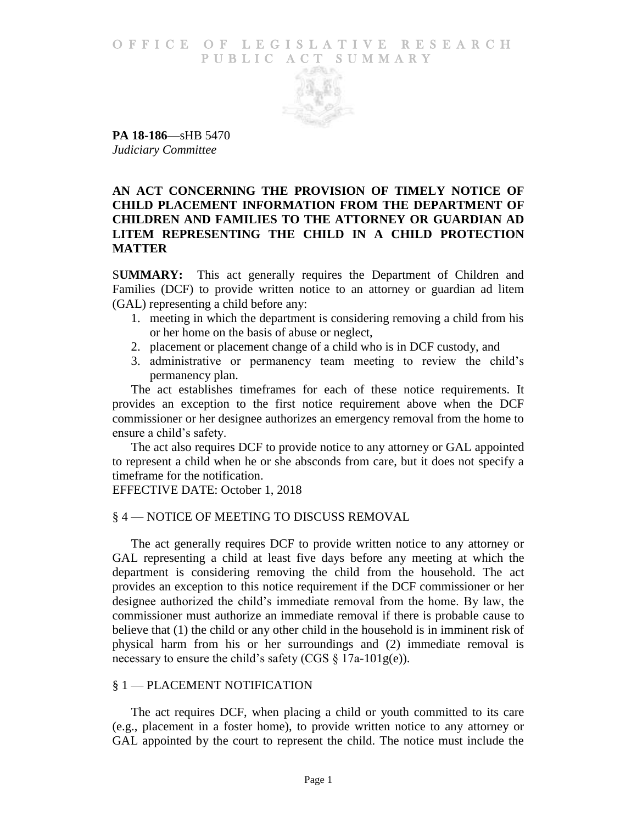#### O F FICE OF LEGISLATIVE RESEARCH PUBLIC ACT SUMMARY



**PA 18-186**—sHB 5470 *Judiciary Committee*

# **AN ACT CONCERNING THE PROVISION OF TIMELY NOTICE OF CHILD PLACEMENT INFORMATION FROM THE DEPARTMENT OF CHILDREN AND FAMILIES TO THE ATTORNEY OR GUARDIAN AD LITEM REPRESENTING THE CHILD IN A CHILD PROTECTION MATTER**

S**UMMARY:** This act generally requires the Department of Children and Families (DCF) to provide written notice to an attorney or guardian ad litem (GAL) representing a child before any:

- 1. meeting in which the department is considering removing a child from his or her home on the basis of abuse or neglect,
- 2. placement or placement change of a child who is in DCF custody, and
- 3. administrative or permanency team meeting to review the child's permanency plan.

The act establishes timeframes for each of these notice requirements. It provides an exception to the first notice requirement above when the DCF commissioner or her designee authorizes an emergency removal from the home to ensure a child's safety.

The act also requires DCF to provide notice to any attorney or GAL appointed to represent a child when he or she absconds from care, but it does not specify a timeframe for the notification.

EFFECTIVE DATE: October 1, 2018

### § 4 — NOTICE OF MEETING TO DISCUSS REMOVAL

The act generally requires DCF to provide written notice to any attorney or GAL representing a child at least five days before any meeting at which the department is considering removing the child from the household. The act provides an exception to this notice requirement if the DCF commissioner or her designee authorized the child's immediate removal from the home. By law, the commissioner must authorize an immediate removal if there is probable cause to believe that (1) the child or any other child in the household is in imminent risk of physical harm from his or her surroundings and (2) immediate removal is necessary to ensure the child's safety (CGS  $\S 17a-101g(e)$ ).

# § 1 — PLACEMENT NOTIFICATION

The act requires DCF, when placing a child or youth committed to its care (e.g., placement in a foster home), to provide written notice to any attorney or GAL appointed by the court to represent the child. The notice must include the